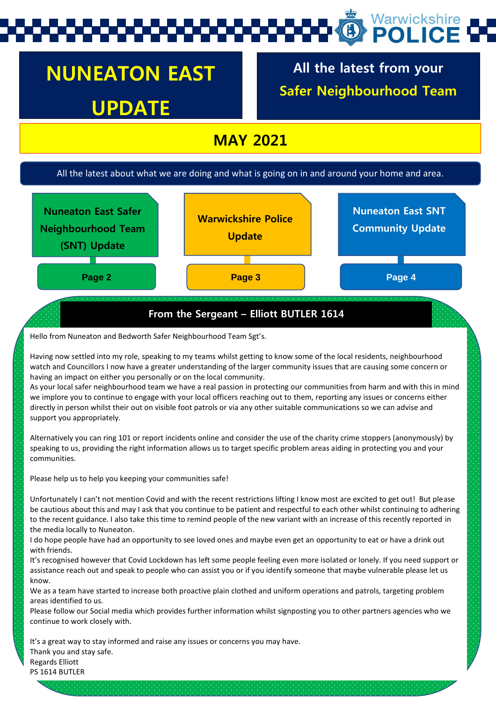# Warwickshire

## **NUNEATON EAST UPDATE**

**All the latest from your Safer Neighbourhood Team**

## **MAY 2021**

#### All the latest about what we are doing and what is going on in and around your home and area.



#### Hello from Nuneaton and Bedworth Safer Neighbourhood Team Sgt's.

Having now settled into my role, speaking to my teams whilst getting to know some of the local residents, neighbourhood watch and Councillors I now have a greater understanding of the larger community issues that are causing some concern or having an impact on either you personally or on the local community.

As your local safer neighbourhood team we have a real passion in protecting our communities from harm and with this in mind we implore you to continue to engage with your local officers reaching out to them, reporting any issues or concerns either directly in person whilst their out on visible foot patrols or via any other suitable communications so we can advise and support you appropriately.

Alternatively you can ring 101 or report incidents online and consider the use of the charity crime stoppers (anonymously) by speaking to us, providing the right information allows us to target specific problem areas aiding in protecting you and your communities.

Please help us to help you keeping your communities safe!

Unfortunately I can't not mention Covid and with the recent restrictions lifting I know most are excited to get out! But please be cautious about this and may I ask that you continue to be patient and respectful to each other whilst continuing to adhering to the recent guidance. I also take this time to remind people of the new variant with an increase of this recently reported in the media locally to Nuneaton.

I do hope people have had an opportunity to see loved ones and maybe even get an opportunity to eat or have a drink out with friends.

It's recognised however that Covid Lockdown has left some people feeling even more isolated or lonely. If you need support or assistance reach out and speak to people who can assist you or if you identify someone that maybe vulnerable please let us know.

We as a team have started to increase both proactive plain clothed and uniform operations and patrols, targeting problem areas identified to us.

Please follow our Social media which provides further information whilst signposting you to other partners agencies who we continue to work closely with.

It's a great way to stay informed and raise any issues or concerns you may have. Thank you and stay safe. Regards Elliott

PS 1614 BUTLER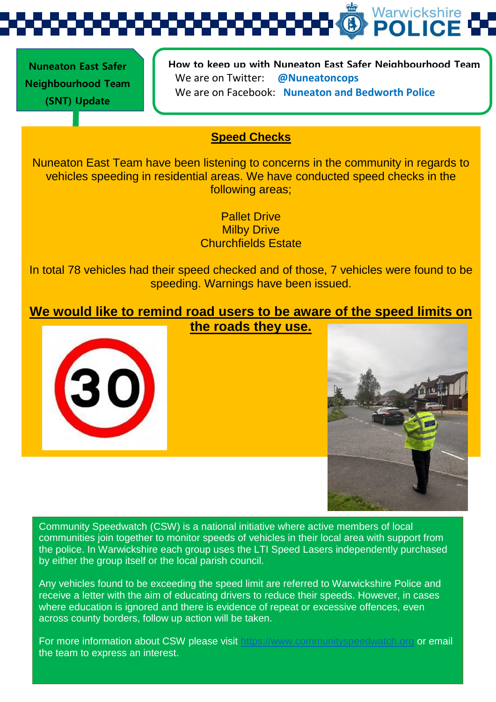Warwickshire **POLIC** 

 **Nuneaton East Safer Neighbourhood Team (SNT) Update** 

**How to keep up with Nuneaton East Safer Neighbourhood Team**  We are on Twitter: **@Nuneatoncops** We are on Facebook: **Nuneaton and Bedworth Police**

## **Speed Checks**

Nuneaton East Team have been listening to concerns in the community in regards to vehicles speeding in residential areas. We have conducted speed checks in the following areas;

> Pallet Drive **Milby Drive** Churchfields Estate

In total 78 vehicles had their speed checked and of those, 7 vehicles were found to be speeding. Warnings have been issued.

**We would like to remind road users to be aware of the speed limits on the roads they use.**





Community Speedwatch (CSW) is a national initiative where active members of local communities join together to monitor speeds of vehicles in their local area with support from the police. In Warwickshire each group uses the LTI Speed Lasers independently purchased by either the group itself or the local parish council.

Any vehicles found to be exceeding the speed limit are referred to Warwickshire Police and receive a letter with the aim of educating drivers to reduce their speeds. However, in cases where education is ignored and there is evidence of repeat or excessive offences, even across county borders, follow up action will be taken.

For more information about CSW please visit [https://www.communityspeedwatch.org](https://www.communityspeedwatch.org/) or email the team to express an interest.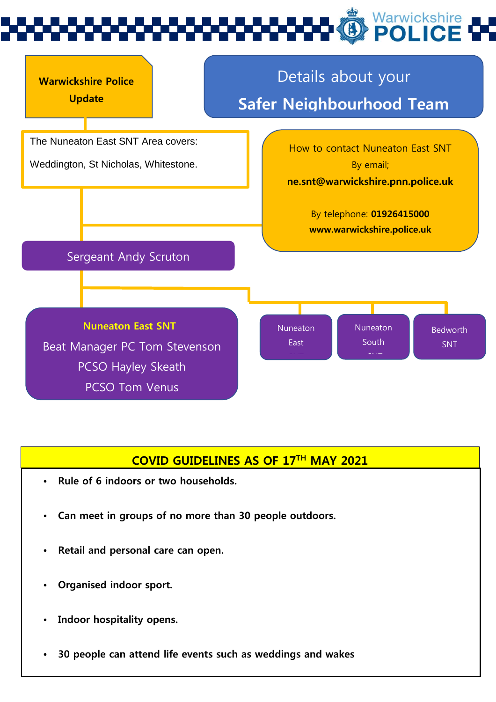



## **COVID GUIDELINES AS OF 17TH MAY 2021**

- **Rule of 6 indoors or two households.**
- **Can meet in groups of no more than 30 people outdoors.**
- **Retail and personal care can open.**
- **Organised indoor sport.**
- **Indoor hospitality opens.**
- **30 people can attend life events such as weddings and wakes**